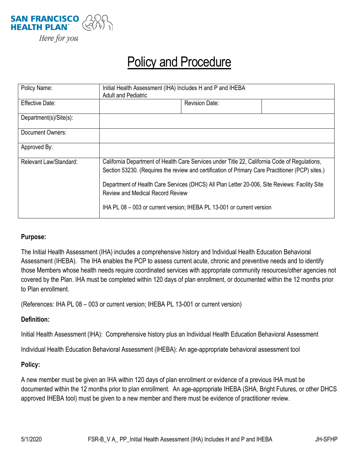

## Policy and Procedure

| Policy Name:           | Initial Health Assessment (IHA) Includes H and P and IHEBA<br><b>Adult and Pediatric</b>                                                                                                          |                       |  |
|------------------------|---------------------------------------------------------------------------------------------------------------------------------------------------------------------------------------------------|-----------------------|--|
| <b>Effective Date:</b> |                                                                                                                                                                                                   | <b>Revision Date:</b> |  |
| Department(s)/Site(s): |                                                                                                                                                                                                   |                       |  |
| Document Owners:       |                                                                                                                                                                                                   |                       |  |
| Approved By:           |                                                                                                                                                                                                   |                       |  |
| Relevant Law/Standard: | California Department of Health Care Services under Title 22, California Code of Regulations,<br>Section 53230. (Requires the review and certification of Primary Care Practitioner (PCP) sites.) |                       |  |
|                        | Department of Health Care Services (DHCS) All Plan Letter 20-006, Site Reviews: Facility Site<br><b>Review and Medical Record Review</b>                                                          |                       |  |
|                        | IHA PL 08 - 003 or current version; IHEBA PL 13-001 or current version                                                                                                                            |                       |  |

## **Purpose:**

The Initial Health Assessment (IHA) includes a comprehensive history and Individual Health Education Behavioral Assessment (IHEBA). The IHA enables the PCP to assess current acute, chronic and preventive needs and to identify those Members whose health needs require coordinated services with appropriate community resources/other agencies not covered by the Plan. IHA must be completed within 120 days of plan enrollment, or documented within the 12 months prior to Plan enrollment.

(References: IHA PL 08 – 003 or current version; IHEBA PL 13-001 or current version)

## **Definition:**

Initial Health Assessment (IHA): Comprehensive history plus an Individual Health Education Behavioral Assessment

Individual Health Education Behavioral Assessment (IHEBA): An age-appropriate behavioral assessment tool

## **Policy:**

A new member must be given an IHA within 120 days of plan enrollment or evidence of a previous IHA must be documented within the 12 months prior to plan enrollment. An age-appropriate IHEBA (SHA, Bright Futures, or other DHCS approved IHEBA tool) must be given to a new member and there must be evidence of practitioner review.